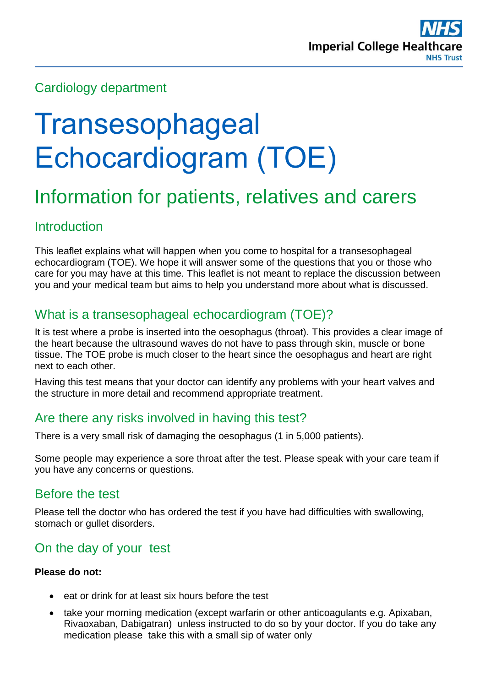

## Cardiology department

# **Transesophageal** Echocardiogram (TOE)

## Information for patients, relatives and carers

## **Introduction**

This leaflet explains what will happen when you come to hospital for a transesophageal echocardiogram (TOE). We hope it will answer some of the questions that you or those who care for you may have at this time. This leaflet is not meant to replace the discussion between you and your medical team but aims to help you understand more about what is discussed.

## What is a transesophageal echocardiogram (TOE)?

It is test where a probe is inserted into the oesophagus (throat). This provides a clear image of the heart because the ultrasound waves do not have to pass through skin, muscle or bone tissue. The TOE probe is much closer to the heart since the oesophagus and heart are right next to each other.

Having this test means that your doctor can identify any problems with your heart valves and the structure in more detail and recommend appropriate treatment.

## Are there any risks involved in having this test?

There is a very small risk of damaging the oesophagus (1 in 5,000 patients).

Some people may experience a sore throat after the test. Please speak with your care team if you have any concerns or questions.

## Before the test

Please tell the doctor who has ordered the test if you have had difficulties with swallowing, stomach or gullet disorders.

## On the day of your test

#### **Please do not:**

- $\bullet$  eat or drink for at least six hours before the test
- take your morning medication (except warfarin or other anticoagulants e.g. Apixaban, Rivaoxaban, Dabigatran) unless instructed to do so by your doctor. If you do take any medication please take this with a small sip of water only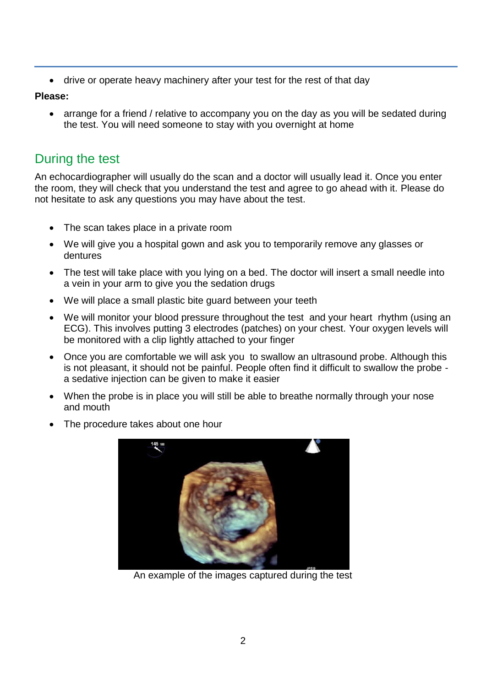drive or operate heavy machinery after your test for the rest of that day

#### **Please:**

• arrange for a friend / relative to accompany you on the day as you will be sedated during the test. You will need someone to stay with you overnight at home

## During the test

An echocardiographer will usually do the scan and a doctor will usually lead it. Once you enter the room, they will check that you understand the test and agree to go ahead with it. Please do not hesitate to ask any questions you may have about the test.

- The scan takes place in a private room
- We will give you a hospital gown and ask you to temporarily remove any glasses or dentures
- The test will take place with you lying on a bed. The doctor will insert a small needle into a vein in your arm to give you the sedation drugs
- We will place a small plastic bite guard between your teeth
- We will monitor your blood pressure throughout the test and your heart rhythm (using an ECG). This involves putting 3 electrodes (patches) on your chest. Your oxygen levels will be monitored with a clip lightly attached to your finger
- Once you are comfortable we will ask you to swallow an ultrasound probe. Although this is not pleasant, it should not be painful. People often find it difficult to swallow the probe a sedative injection can be given to make it easier
- When the probe is in place you will still be able to breathe normally through your nose and mouth



The procedure takes about one hour

An example of the images captured during the test